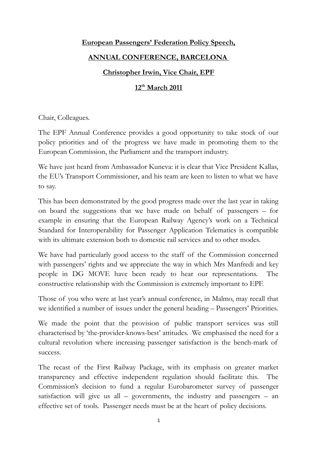## **European Passengers' Federation Policy Speech,**

## **ANNUAL CONFERENCE, BARCELONA**

## **Christopher Irwin, Vice Chair, EPF**

## **12th March 2011**

Chair, Colleagues.

The EPF Annual Conference provides a good opportunity to take stock of our policy priorities and of the progress we have made in promoting them to the European Commission, the Parliament and the transport industry.

We have just heard from Ambassador Kuneva: it is clear that Vice President Kallas, the EU's Transport Commissioner, and his team are keen to listen to what we have to say.

This has been demonstrated by the good progress made over the last year in taking on board the suggestions that we have made on behalf of passengers – for example in ensuring that the European Railway Agency's work on a Technical Standard for Interoperability for Passenger Application Telematics is compatible with its ultimate extension both to domestic rail services and to other modes.

We have had particularly good access to the staff of the Commission concerned with passengers' rights and we appreciate the way in which Mrs Manfredi and key people in DG MOVE have been ready to hear our representations. The constructive relationship with the Commission is extremely important to EPF.

Those of you who were at last year's annual conference, in Malmo, may recall that we identified a number of issues under the general heading – Passengers' Priorities.

We made the point that the provision of public transport services was still characterised by 'the-provider-knows-best' attitudes. We emphasised the need for a cultural revolution where increasing passenger satisfaction is the bench-mark of success.

The recast of the First Railway Package, with its emphasis on greater market transparency and effective independent regulation should facilitate this. The Commission's decision to fund a regular Eurobarometer survey of passenger satisfaction will give us all  $-$  governments, the industry and passengers  $-$  an effective set of tools. Passenger needs must be at the heart of policy decisions.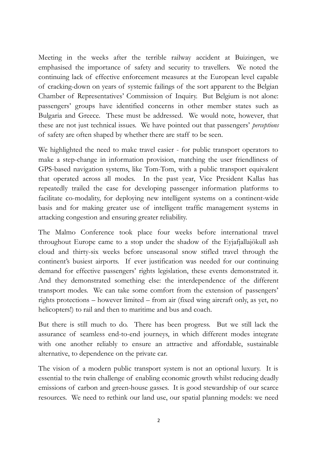Meeting in the weeks after the terrible railway accident at Buizingen, we emphasised the importance of safety and security to travellers. We noted the continuing lack of effective enforcement measures at the European level capable of cracking-down on years of systemic failings of the sort apparent to the Belgian Chamber of Representatives' Commission of Inquiry. But Belgium is not alone: passengers' groups have identified concerns in other member states such as Bulgaria and Greece. These must be addressed. We would note, however, that these are not just technical issues. We have pointed out that passengers' *perceptions* of safety are often shaped by whether there are staff to be seen.

We highlighted the need to make travel easier - for public transport operators to make a step-change in information provision, matching the user friendliness of GPS-based navigation systems, like Tom-Tom, with a public transport equivalent that operated across all modes. In the past year, Vice President Kallas has repeatedly trailed the case for developing passenger information platforms to facilitate co-modality, for deploying new intelligent systems on a continent-wide basis and for making greater use of intelligent traffic management systems in attacking congestion and ensuring greater reliability.

The Malmo Conference took place four weeks before international travel throughout Europe came to a stop under the shadow of the Eyjafjallajökull ash cloud and thirty-six weeks before unseasonal snow stifled travel through the continent's busiest airports. If ever justification was needed for our continuing demand for effective passengers' rights legislation, these events demonstrated it. And they demonstrated something else: the interdependence of the different transport modes. We can take some comfort from the extension of passengers' rights protections – however limited – from air (fixed wing aircraft only, as yet, no helicopters!) to rail and then to maritime and bus and coach.

But there is still much to do. There has been progress. But we still lack the assurance of seamless end-to-end journeys, in which different modes integrate with one another reliably to ensure an attractive and affordable, sustainable alternative, to dependence on the private car.

The vision of a modern public transport system is not an optional luxury. It is essential to the twin challenge of enabling economic growth whilst reducing deadly emissions of carbon and green-house gasses. It is good stewardship of our scarce resources. We need to rethink our land use, our spatial planning models: we need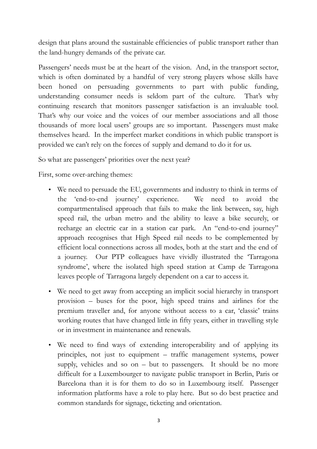design that plans around the sustainable efficiencies of public transport rather than the land-hungry demands of the private car.

Passengers' needs must be at the heart of the vision. And, in the transport sector, which is often dominated by a handful of very strong players whose skills have been honed on persuading governments to part with public funding, understanding consumer needs is seldom part of the culture. That's why continuing research that monitors passenger satisfaction is an invaluable tool. That's why our voice and the voices of our member associations and all those thousands of more local users' groups are so important. Passengers must make themselves heard. In the imperfect market conditions in which public transport is provided we can't rely on the forces of supply and demand to do it for us.

So what are passengers' priorities over the next year?

First, some over-arching themes:

- We need to persuade the EU, governments and industry to think in terms of the 'end-to-end journey' experience. We need to avoid the compartmentalised approach that fails to make the link between, say, high speed rail, the urban metro and the ability to leave a bike securely, or recharge an electric car in a station car park. An "end-to-end journey" approach recognises that High Speed rail needs to be complemented by efficient local connections across all modes, both at the start and the end of a journey. Our PTP colleagues have vividly illustrated the 'Tarragona syndrome', where the isolated high speed station at Camp de Tarragona leaves people of Tarragona largely dependent on a car to access it.
- We need to get away from accepting an implicit social hierarchy in transport provision – buses for the poor, high speed trains and airlines for the premium traveller and, for anyone without access to a car, 'classic' trains working routes that have changed little in fifty years, either in travelling style or in investment in maintenance and renewals.
- We need to find ways of extending interoperability and of applying its principles, not just to equipment – traffic management systems, power supply, vehicles and so on – but to passengers. It should be no more difficult for a Luxembourger to navigate public transport in Berlin, Paris or Barcelona than it is for them to do so in Luxembourg itself. Passenger information platforms have a role to play here. But so do best practice and common standards for signage, ticketing and orientation.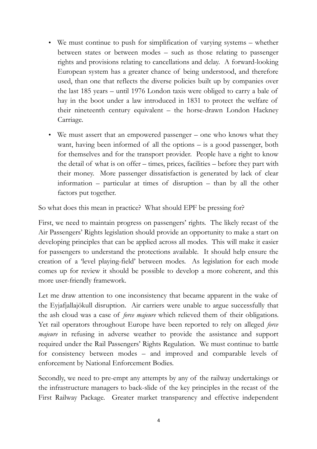- We must continue to push for simplification of varying systems whether between states or between modes – such as those relating to passenger rights and provisions relating to cancellations and delay. A forward-looking European system has a greater chance of being understood, and therefore used, than one that reflects the diverse policies built up by companies over the last 185 years – until 1976 London taxis were obliged to carry a bale of hay in the boot under a law introduced in 1831 to protect the welfare of their nineteenth century equivalent – the horse-drawn London Hackney Carriage.
- We must assert that an empowered passenger one who knows what they want, having been informed of all the options – is a good passenger, both for themselves and for the transport provider. People have a right to know the detail of what is on offer – times, prices, facilities – before they part with their money. More passenger dissatisfaction is generated by lack of clear information – particular at times of disruption – than by all the other factors put together.

So what does this mean in practice? What should EPF be pressing for?

First, we need to maintain progress on passengers' rights. The likely recast of the Air Passengers' Rights legislation should provide an opportunity to make a start on developing principles that can be applied across all modes. This will make it easier for passengers to understand the protections available. It should help ensure the creation of a 'level playing-field' between modes. As legislation for each mode comes up for review it should be possible to develop a more coherent, and this more user-friendly framework.

Let me draw attention to one inconsistency that became apparent in the wake of the Eyjafjallajökull disruption. Air carriers were unable to argue successfully that the ash cloud was a case of *force majeure* which relieved them of their obligations. Yet rail operators throughout Europe have been reported to rely on alleged *force majeure* in refusing in adverse weather to provide the assistance and support required under the Rail Passengers' Rights Regulation. We must continue to battle for consistency between modes – and improved and comparable levels of enforcement by National Enforcement Bodies.

Secondly, we need to pre-empt any attempts by any of the railway undertakings or the infrastructure managers to back-slide of the key principles in the recast of the First Railway Package. Greater market transparency and effective independent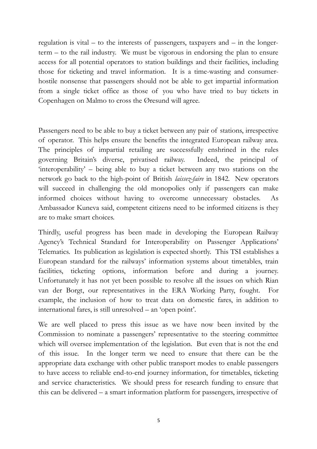regulation is vital – to the interests of passengers, taxpayers and – in the longerterm – to the rail industry. We must be vigorous in endorsing the plan to ensure access for all potential operators to station buildings and their facilities, including those for ticketing and travel information. It is a time-wasting and consumerhostile nonsense that passengers should not be able to get impartial information from a single ticket office as those of you who have tried to buy tickets in Copenhagen on Malmo to cross the Øresund will agree.

Passengers need to be able to buy a ticket between any pair of stations, irrespective of operator. This helps ensure the benefits the integrated European railway area. The principles of impartial retailing are successfully enshrined in the rules governing Britain's diverse, privatised railway. Indeed, the principal of 'interoperability' – being able to buy a ticket between any two stations on the network go back to the high-point of British *laissez-faire* in 1842*.* New operators will succeed in challenging the old monopolies only if passengers can make informed choices without having to overcome unnecessary obstacles. As Ambassador Kuneva said, competent citizens need to be informed citizens is they are to make smart choices.

Thirdly, useful progress has been made in developing the European Railway Agency's Technical Standard for Interoperability on Passenger Applications' Telematics. Its publication as legislation is expected shortly. This TSI establishes a European standard for the railways' information systems about timetables, train facilities, ticketing options, information before and during a journey. Unfortunately it has not yet been possible to resolve all the issues on which Rian van der Borgt, our representatives in the ERA Working Party, fought. For example, the inclusion of how to treat data on domestic fares, in addition to international fares, is still unresolved – an 'open point'.

We are well placed to press this issue as we have now been invited by the Commission to nominate a passengers' representative to the steering committee which will oversee implementation of the legislation. But even that is not the end of this issue. In the longer term we need to ensure that there can be the appropriate data exchange with other public transport modes to enable passengers to have access to reliable end-to-end journey information, for timetables, ticketing and service characteristics. We should press for research funding to ensure that this can be delivered – a smart information platform for passengers, irrespective of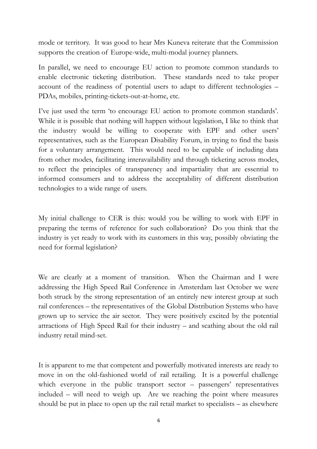mode or territory. It was good to hear Mrs Kuneva reiterate that the Commission supports the creation of Europe-wide, multi-modal journey planners.

In parallel, we need to encourage EU action to promote common standards to enable electronic ticketing distribution. These standards need to take proper account of the readiness of potential users to adapt to different technologies – PDAs, mobiles, printing-tickets-out-at-home, etc.

I've just used the term 'to encourage EU action to promote common standards'. While it is possible that nothing will happen without legislation, I like to think that the industry would be willing to cooperate with EPF and other users' representatives, such as the European Disability Forum, in trying to find the basis for a voluntary arrangement. This would need to be capable of including data from other modes, facilitating interavailability and through ticketing across modes, to reflect the principles of transparency and impartiality that are essential to informed consumers and to address the acceptability of different distribution technologies to a wide range of users.

My initial challenge to CER is this: would you be willing to work with EPF in preparing the terms of reference for such collaboration? Do you think that the industry is yet ready to work with its customers in this way, possibly obviating the need for formal legislation?

We are clearly at a moment of transition. When the Chairman and I were addressing the High Speed Rail Conference in Amsterdam last October we were both struck by the strong representation of an entirely new interest group at such rail conferences – the representatives of the Global Distribution Systems who have grown up to service the air sector. They were positively excited by the potential attractions of High Speed Rail for their industry – and scathing about the old rail industry retail mind-set.

It is apparent to me that competent and powerfully motivated interests are ready to move in on the old-fashioned world of rail retailing. It is a powerful challenge which everyone in the public transport sector – passengers' representatives included – will need to weigh up. Are we reaching the point where measures should be put in place to open up the rail retail market to specialists – as elsewhere